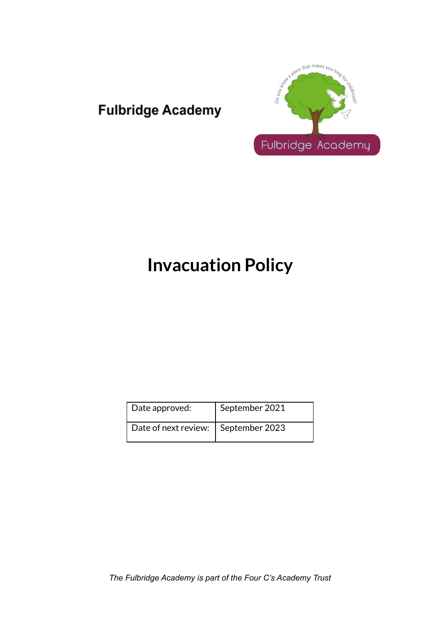# **Fulbridge Academy**



# **Invacuation Policy**

| Date approved:                        | September 2021 |
|---------------------------------------|----------------|
| Date of next review:   September 2023 |                |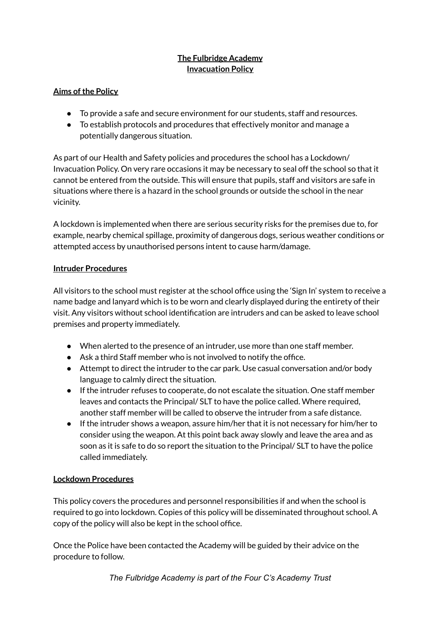# **The Fulbridge Academy Invacuation Policy**

#### **Aims of the Policy**

- To provide a safe and secure environment for our students, staff and resources.
- To establish protocols and procedures that effectively monitor and manage a potentially dangerous situation.

As part of our Health and Safety policies and procedures the school has a Lockdown/ Invacuation Policy. On very rare occasions it may be necessary to seal off the school so that it cannot be entered from the outside. This will ensure that pupils, staff and visitors are safe in situations where there is a hazard in the school grounds or outside the school in the near vicinity.

A lockdown is implemented when there are serious security risks for the premises due to, for example, nearby chemical spillage, proximity of dangerous dogs, serious weather conditions or attempted access by unauthorised persons intent to cause harm/damage.

#### **Intruder Procedures**

All visitors to the school must register at the school office using the 'Sign In' system to receive a name badge and lanyard which is to be worn and clearly displayed during the entirety of their visit. Any visitors without school identification are intruders and can be asked to leave school premises and property immediately.

- When alerted to the presence of an intruder, use more than one staff member.
- Ask a third Staff member who is not involved to notify the office.
- Attempt to direct the intruder to the car park. Use casual conversation and/or body language to calmly direct the situation.
- If the intruder refuses to cooperate, do not escalate the situation. One staff member leaves and contacts the Principal/ SLT to have the police called. Where required, another staff member will be called to observe the intruder from a safe distance.
- If the intruder shows a weapon, assure him/her that it is not necessary for him/her to consider using the weapon. At this point back away slowly and leave the area and as soon as it is safe to do so report the situation to the Principal/ SLT to have the police called immediately.

## **Lockdown Procedures**

This policy covers the procedures and personnel responsibilities if and when the school is required to go into lockdown. Copies of this policy will be disseminated throughout school. A copy of the policy will also be kept in the school office.

Once the Police have been contacted the Academy will be guided by their advice on the procedure to follow.

*The Fulbridge Academy is part of the Four C's Academy Trust*